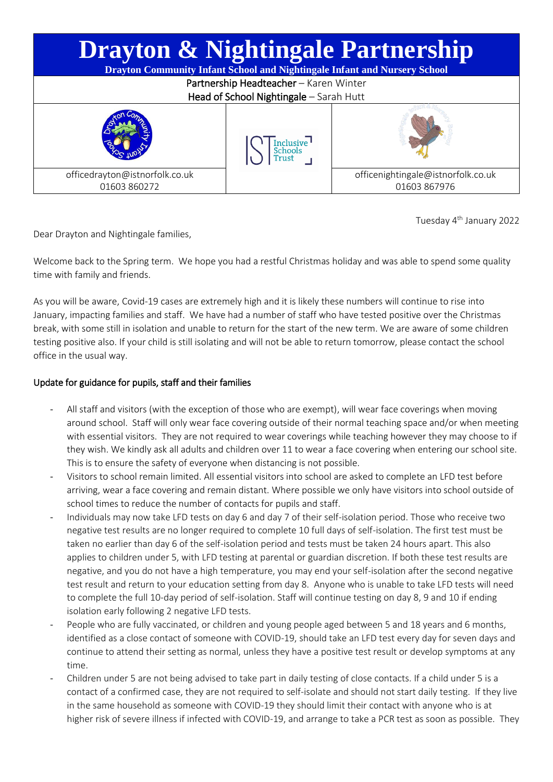| <b>Drayton &amp; Nightingale Partnership</b><br><b>Drayton Community Infant School and Nightingale Infant and Nursery School</b> |                      |                                                   |
|----------------------------------------------------------------------------------------------------------------------------------|----------------------|---------------------------------------------------|
| Partnership Headteacher - Karen Winter                                                                                           |                      |                                                   |
| Head of School Nightingale - Sarah Hutt                                                                                          |                      |                                                   |
|                                                                                                                                  | Inclusive<br>Schools |                                                   |
| officedrayton@istnorfolk.co.uk<br>01603 860272                                                                                   |                      | officenightingale@istnorfolk.co.uk<br>01603867976 |

Tuesday 4th January 2022

Dear Drayton and Nightingale families,

Welcome back to the Spring term. We hope you had a restful Christmas holiday and was able to spend some quality time with family and friends.

As you will be aware, Covid-19 cases are extremely high and it is likely these numbers will continue to rise into January, impacting families and staff. We have had a number of staff who have tested positive over the Christmas break, with some still in isolation and unable to return for the start of the new term. We are aware of some children testing positive also. If your child is still isolating and will not be able to return tomorrow, please contact the school office in the usual way.

## Update for guidance for pupils, staff and their families

- All staff and visitors (with the exception of those who are exempt), will wear face coverings when moving around school. Staff will only wear face covering outside of their normal teaching space and/or when meeting with essential visitors. They are not required to wear coverings while teaching however they may choose to if they wish. We kindly ask all adults and children over 11 to wear a face covering when entering our school site. This is to ensure the safety of everyone when distancing is not possible.
- Visitors to school remain limited. All essential visitors into school are asked to complete an LFD test before arriving, wear a face covering and remain distant. Where possible we only have visitors into school outside of school times to reduce the number of contacts for pupils and staff.
- Individuals may now take LFD tests on day 6 and day 7 of their self-isolation period. Those who receive two negative test results are no longer required to complete 10 full days of self-isolation. The first test must be taken no earlier than day 6 of the self-isolation period and tests must be taken 24 hours apart. This also applies to children under 5, with LFD testing at parental or guardian discretion. If both these test results are negative, and you do not have a high temperature, you may end your self-isolation after the second negative test result and return to your education setting from day 8. Anyone who is unable to take LFD tests will need to complete the full 10-day period of self-isolation. Staff will continue testing on day 8, 9 and 10 if ending isolation early following 2 negative LFD tests.
- People who are fully vaccinated, or children and young people aged between 5 and 18 years and 6 months, identified as a close contact of someone with COVID-19, should take an LFD test every day for seven days and continue to attend their setting as normal, unless they have a positive test result or develop symptoms at any time.
- Children under 5 are not being advised to take part in daily testing of close contacts. If a child under 5 is a contact of a confirmed case, they are not required to self-isolate and should not start daily testing. If they live in the same household as someone with COVID-19 they should limit their contact with anyone who is at higher risk of severe illness if infected with COVID-19, and arrange to take a PCR test as soon as possible. They